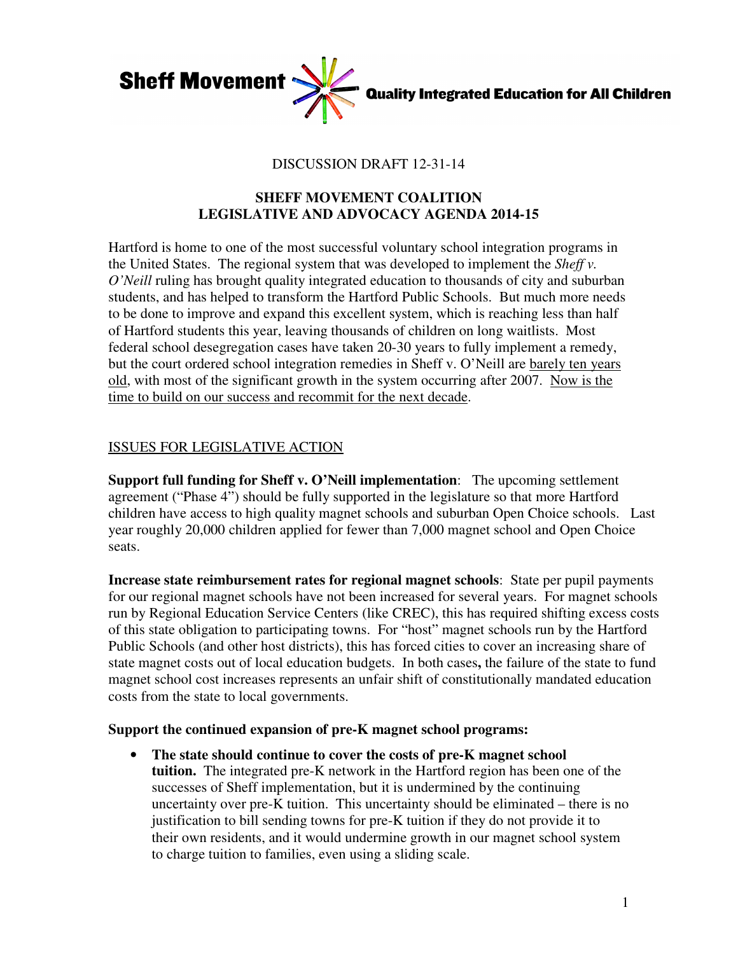

# DISCUSSION DRAFT 12-31-14

# **SHEFF MOVEMENT COALITION LEGISLATIVE AND ADVOCACY AGENDA 2014-15**

Hartford is home to one of the most successful voluntary school integration programs in the United States. The regional system that was developed to implement the *Sheff v. O'Neill* ruling has brought quality integrated education to thousands of city and suburban students, and has helped to transform the Hartford Public Schools. But much more needs to be done to improve and expand this excellent system, which is reaching less than half of Hartford students this year, leaving thousands of children on long waitlists. Most federal school desegregation cases have taken 20-30 years to fully implement a remedy, but the court ordered school integration remedies in Sheff v. O'Neill are barely ten years old, with most of the significant growth in the system occurring after 2007. Now is the time to build on our success and recommit for the next decade.

# ISSUES FOR LEGISLATIVE ACTION

**Support full funding for Sheff v. O'Neill implementation**: The upcoming settlement agreement ("Phase 4") should be fully supported in the legislature so that more Hartford children have access to high quality magnet schools and suburban Open Choice schools. Last year roughly 20,000 children applied for fewer than 7,000 magnet school and Open Choice seats.

**Increase state reimbursement rates for regional magnet schools**:State per pupil payments for our regional magnet schools have not been increased for several years. For magnet schools run by Regional Education Service Centers (like CREC), this has required shifting excess costs of this state obligation to participating towns. For "host" magnet schools run by the Hartford Public Schools (and other host districts), this has forced cities to cover an increasing share of state magnet costs out of local education budgets. In both cases**,** the failure of the state to fund magnet school cost increases represents an unfair shift of constitutionally mandated education costs from the state to local governments.

## **Support the continued expansion of pre-K magnet school programs:**

• **The state should continue to cover the costs of pre-K magnet school tuition.** The integrated pre-K network in the Hartford region has been one of the successes of Sheff implementation, but it is undermined by the continuing uncertainty over pre-K tuition. This uncertainty should be eliminated – there is no justification to bill sending towns for pre-K tuition if they do not provide it to their own residents, and it would undermine growth in our magnet school system to charge tuition to families, even using a sliding scale.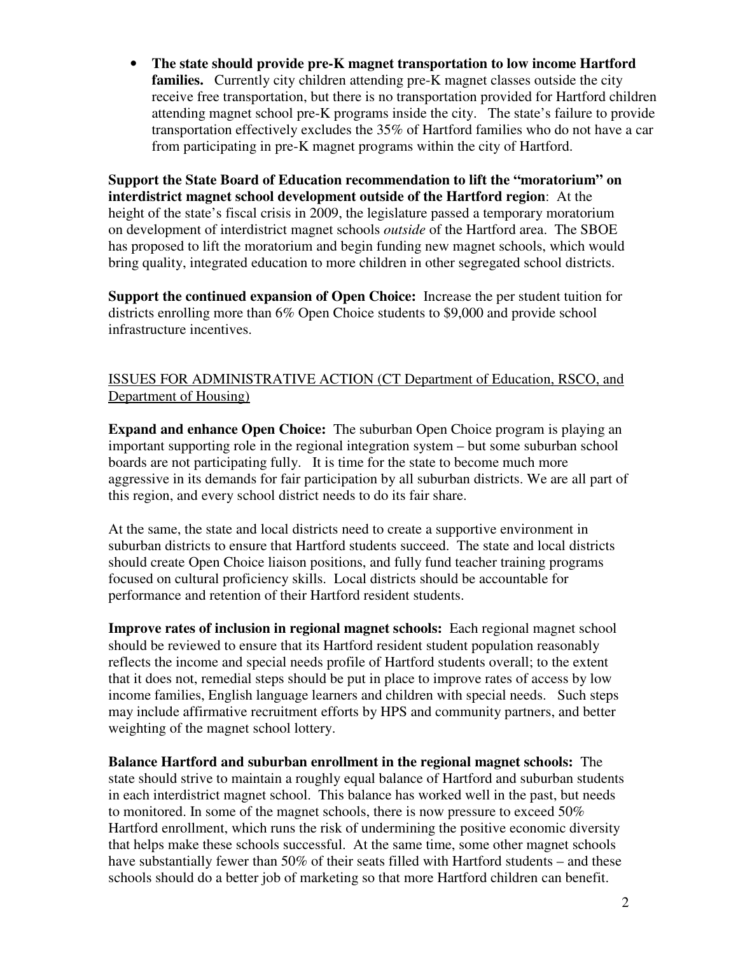• **The state should provide pre-K magnet transportation to low income Hartford families.** Currently city children attending pre-K magnet classes outside the city receive free transportation, but there is no transportation provided for Hartford children attending magnet school pre-K programs inside the city. The state's failure to provide transportation effectively excludes the 35% of Hartford families who do not have a car from participating in pre-K magnet programs within the city of Hartford.

**Support the State Board of Education recommendation to lift the "moratorium" on interdistrict magnet school development outside of the Hartford region**: At the height of the state's fiscal crisis in 2009, the legislature passed a temporary moratorium on development of interdistrict magnet schools *outside* of the Hartford area. The SBOE has proposed to lift the moratorium and begin funding new magnet schools, which would bring quality, integrated education to more children in other segregated school districts.

**Support the continued expansion of Open Choice:** Increase the per student tuition for districts enrolling more than 6% Open Choice students to \$9,000 and provide school infrastructure incentives.

# ISSUES FOR ADMINISTRATIVE ACTION (CT Department of Education, RSCO, and Department of Housing)

**Expand and enhance Open Choice:** The suburban Open Choice program is playing an important supporting role in the regional integration system – but some suburban school boards are not participating fully. It is time for the state to become much more aggressive in its demands for fair participation by all suburban districts. We are all part of this region, and every school district needs to do its fair share.

At the same, the state and local districts need to create a supportive environment in suburban districts to ensure that Hartford students succeed. The state and local districts should create Open Choice liaison positions, and fully fund teacher training programs focused on cultural proficiency skills. Local districts should be accountable for performance and retention of their Hartford resident students.

**Improve rates of inclusion in regional magnet schools:** Each regional magnet school should be reviewed to ensure that its Hartford resident student population reasonably reflects the income and special needs profile of Hartford students overall; to the extent that it does not, remedial steps should be put in place to improve rates of access by low income families, English language learners and children with special needs. Such steps may include affirmative recruitment efforts by HPS and community partners, and better weighting of the magnet school lottery.

**Balance Hartford and suburban enrollment in the regional magnet schools:** The state should strive to maintain a roughly equal balance of Hartford and suburban students in each interdistrict magnet school. This balance has worked well in the past, but needs to monitored. In some of the magnet schools, there is now pressure to exceed  $50\%$ Hartford enrollment, which runs the risk of undermining the positive economic diversity that helps make these schools successful. At the same time, some other magnet schools have substantially fewer than 50% of their seats filled with Hartford students – and these schools should do a better job of marketing so that more Hartford children can benefit.